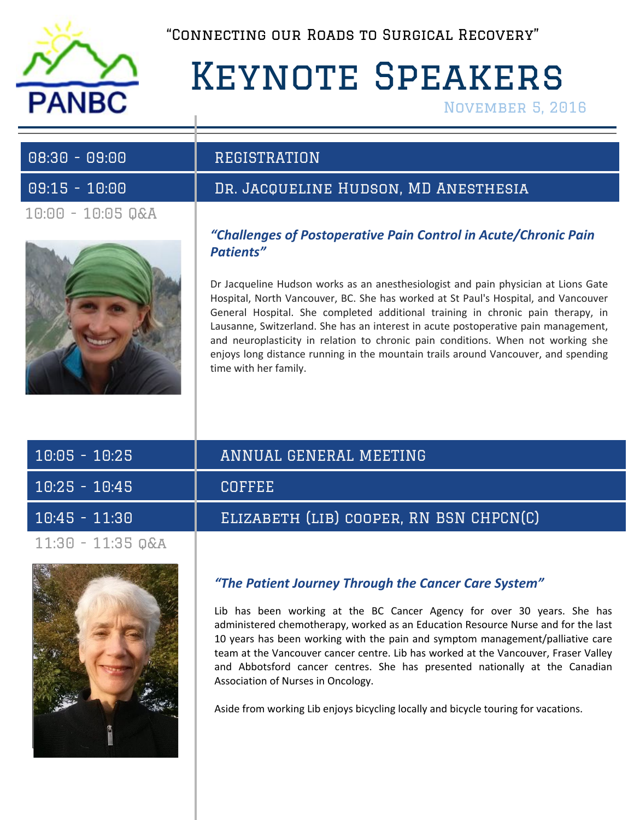

"Connecting our Roads to Surgical Recovery"

# Keynote Speakers

November 5, 2016

| $08:30 - 09:00$   |  |
|-------------------|--|
| $09:15 - 10:00$   |  |
| 10:00 - 10:05 Q&A |  |



# DR. JACQUELINE HUDSON, MD ANESTHESIA

*"Challenges of Postoperative Pain Control in Acute/Chronic Pain Patients"*

Dr Jacqueline Hudson works as an anesthesiologist and pain physician at Lions Gate Hospital, North Vancouver, BC. She has worked at St Paul's Hospital, and Vancouver General Hospital. She completed additional training in chronic pain therapy, in Lausanne, Switzerland. She has an interest in acute postoperative pain management, and neuroplasticity in relation to chronic pain conditions. When not working she enjoys long distance running in the mountain trails around Vancouver, and spending time with her family.

| $10:05 - 10:25$     | ANNUAL GENERAL MEETING                  |
|---------------------|-----------------------------------------|
| $10:25 - 10:45$     | <b>COFFEE</b>                           |
| $10:45 - 11:30$     | ELIZABETH (LIB) COOPER, RN BSN CHPCN(C) |
| $11:30 - 11:35$ Q&A |                                         |



## *"The Patient Journey Through the Cancer Care System"*

Lib has been working at the BC Cancer Agency for over 30 years. She has administered chemotherapy, worked as an Education Resource Nurse and for the last 10 years has been working with the pain and symptom management/palliative care team at the Vancouver cancer centre. Lib has worked at the Vancouver, Fraser Valley and Abbotsford cancer centres. She has presented nationally at the Canadian Association of Nurses in Oncology.

Aside from working Lib enjoys bicycling locally and bicycle touring for vacations.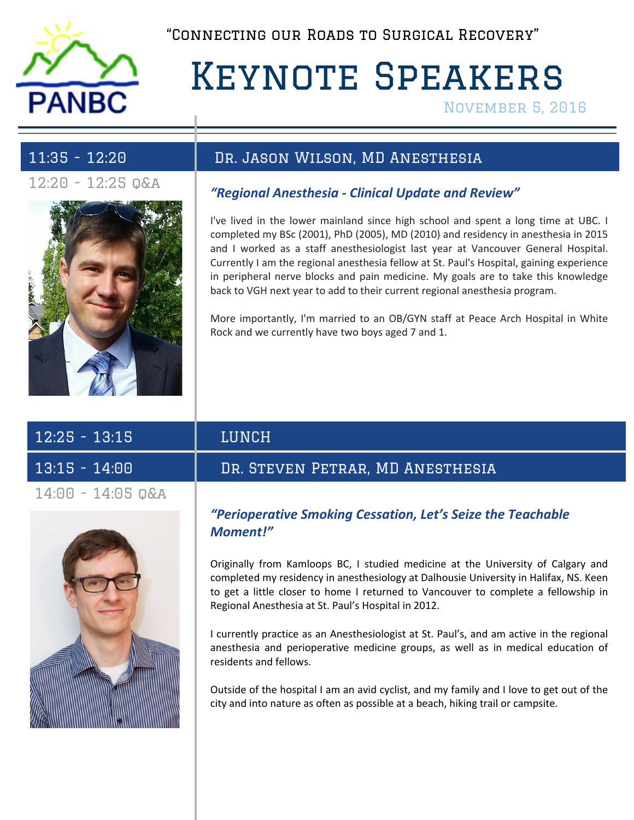

"Connecting our Roads to Surgical Recovery"

# Keynote Speakers

November 5, 2016



## 11:35 - 12:20 Dr. Jason Wilson, MD Anesthesia

# 12:20 - 12:25 q&a *"Regional Anesthesia - Clinical Update and Review"*

I've lived in the lower mainland since high school and spent a long time at UBC. I completed my BSc (2001), PhD (2005), MD (2010) and residency in anesthesia in 2015 and I worked as a staff anesthesiologist last year at Vancouver General Hospital. Currently I am the regional anesthesia fellow at St. Paul's Hospital, gaining experience in peripheral nerve blocks and pain medicine. My goals are to take this knowledge back to VGH next year to add to their current regional anesthesia program.

More importantly, I'm married to an OB/GYN staff at Peace Arch Hospital in White Rock and we currently have two boys aged 7 and 1.

| $12:25 - 13:15$     |  |  |
|---------------------|--|--|
| $13:15 - 14:00$     |  |  |
| $14:00 - 14:05$ Q&A |  |  |



# LUNCH

## DR. STEVEN PETRAR, MD ANESTHESIA

### *"Perioperative Smoking Cessation, Let's Seize the Teachable Moment!"*

Originally from Kamloops BC, I studied medicine at the University of Calgary and completed my residency in anesthesiology at Dalhousie University in Halifax, NS. Keen to get a little closer to home I returned to Vancouver to complete a fellowship in Regional Anesthesia at St. Paul's Hospital in 2012.

I currently practice as an Anesthesiologist at St. Paul's, and am active in the regional anesthesia and perioperative medicine groups, as well as in medical education of residents and fellows.

Outside of the hospital I am an avid cyclist, and my family and I love to get out of the city and into nature as often as possible at a beach, hiking trail or campsite.